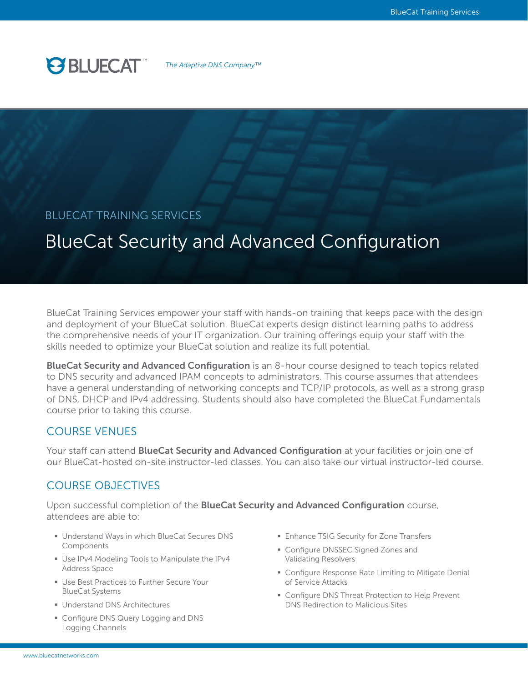

*The Adaptive DNS Company™*

# BLUECAT TRAINING SERVICES

# BlueCat Security and Advanced Configuration

BlueCat Training Services empower your staff with hands-on training that keeps pace with the design and deployment of your BlueCat solution. BlueCat experts design distinct learning paths to address the comprehensive needs of your IT organization. Our training offerings equip your staff with the skills needed to optimize your BlueCat solution and realize its full potential.

BlueCat Security and Advanced Configuration is an 8-hour course designed to teach topics related to DNS security and advanced IPAM concepts to administrators. This course assumes that attendees have a general understanding of networking concepts and TCP/IP protocols, as well as a strong grasp of DNS, DHCP and IPv4 addressing. Students should also have completed the BlueCat Fundamentals course prior to taking this course.

## COURSE VENUES

Your staff can attend **BlueCat Security and Advanced Configuration** at your facilities or join one of our BlueCat-hosted on-site instructor-led classes. You can also take our virtual instructor-led course.

# COURSE OBJECTIVES

Upon successful completion of the **BlueCat Security and Advanced Configuration** course, attendees are able to:

- Understand Ways in which BlueCat Secures DNS Components
- § Use IPv4 Modeling Tools to Manipulate the IPv4 Address Space
- Use Best Practices to Further Secure Your BlueCat Systems
- Understand DNS Architectures
- Configure DNS Query Logging and DNS Logging Channels
- **Enhance TSIG Security for Zone Transfers**
- § Configure DNSSEC Signed Zones and Validating Resolvers
- Configure Response Rate Limiting to Mitigate Denial of Service Attacks
- Configure DNS Threat Protection to Help Prevent DNS Redirection to Malicious Sites